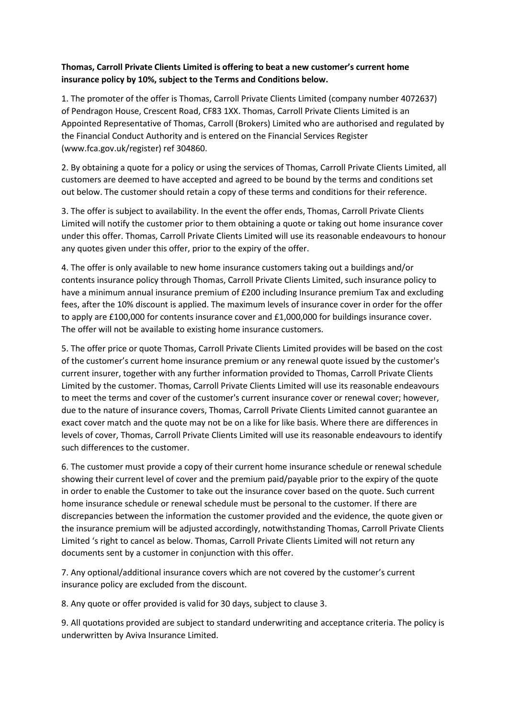## **Thomas, Carroll Private Clients Limited is offering to beat a new customer's current home insurance policy by 10%, subject to the Terms and Conditions below.**

1. The promoter of the offer is Thomas, Carroll Private Clients Limited (company number 4072637) of Pendragon House, Crescent Road, CF83 1XX. Thomas, Carroll Private Clients Limited is an Appointed Representative of Thomas, Carroll (Brokers) Limited who are authorised and regulated by the Financial Conduct Authority and is entered on the Financial Services Register (www.fca.gov.uk/register) ref 304860.

2. By obtaining a quote for a policy or using the services of Thomas, Carroll Private Clients Limited, all customers are deemed to have accepted and agreed to be bound by the terms and conditions set out below. The customer should retain a copy of these terms and conditions for their reference.

3. The offer is subject to availability. In the event the offer ends, Thomas, Carroll Private Clients Limited will notify the customer prior to them obtaining a quote or taking out home insurance cover under this offer. Thomas, Carroll Private Clients Limited will use its reasonable endeavours to honour any quotes given under this offer, prior to the expiry of the offer.

4. The offer is only available to new home insurance customers taking out a buildings and/or contents insurance policy through Thomas, Carroll Private Clients Limited, such insurance policy to have a minimum annual insurance premium of £200 including Insurance premium Tax and excluding fees, after the 10% discount is applied. The maximum levels of insurance cover in order for the offer to apply are £100,000 for contents insurance cover and £1,000,000 for buildings insurance cover. The offer will not be available to existing home insurance customers.

5. The offer price or quote Thomas, Carroll Private Clients Limited provides will be based on the cost of the customer's current home insurance premium or any renewal quote issued by the customer's current insurer, together with any further information provided to Thomas, Carroll Private Clients Limited by the customer. Thomas, Carroll Private Clients Limited will use its reasonable endeavours to meet the terms and cover of the customer's current insurance cover or renewal cover; however, due to the nature of insurance covers, Thomas, Carroll Private Clients Limited cannot guarantee an exact cover match and the quote may not be on a like for like basis. Where there are differences in levels of cover, Thomas, Carroll Private Clients Limited will use its reasonable endeavours to identify such differences to the customer.

6. The customer must provide a copy of their current home insurance schedule or renewal schedule showing their current level of cover and the premium paid/payable prior to the expiry of the quote in order to enable the Customer to take out the insurance cover based on the quote. Such current home insurance schedule or renewal schedule must be personal to the customer. If there are discrepancies between the information the customer provided and the evidence, the quote given or the insurance premium will be adjusted accordingly, notwithstanding Thomas, Carroll Private Clients Limited 's right to cancel as below. Thomas, Carroll Private Clients Limited will not return any documents sent by a customer in conjunction with this offer.

7. Any optional/additional insurance covers which are not covered by the customer's current insurance policy are excluded from the discount.

8. Any quote or offer provided is valid for 30 days, subject to clause 3.

9. All quotations provided are subject to standard underwriting and acceptance criteria. The policy is underwritten by Aviva Insurance Limited.